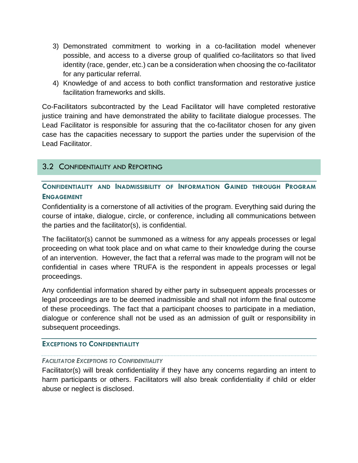- 3) Demonstrated commitment to working in a co-facilitation model whenever possible, and access to a diverse group of qualified co-facilitators so that lived identity (race, gender, etc.) can be a consideration when choosing the co-facilitator for any particular referral.
- 4) Knowledge of and access to both conflict transformation and restorative justice facilitation frameworks and skills.

Co-Facilitators subcontracted by the Lead Facilitator will have completed restorative justice training and have demonstrated the ability to facilitate dialogue processes. The Lead Facilitator is responsible for assuring that the co-facilitator chosen for any given case has the capacities necessary to support the parties under the supervision of the Lead Facilitator.

# 3.2 CONFIDENTIALITY AND REPORTING

**CONFIDENTIALITY AND INADMISSIBILITY OF INFORMATION GAINED THROUGH PROGRAM ENGAGEMENT**

Confidentiality is a cornerstone of all activities of the program. Everything said during the course of intake, dialogue, circle, or conference, including all communications between the parties and the facilitator(s), is confidential.

The facilitator(s) cannot be summoned as a witness for any appeals processes or legal proceeding on what took place and on what came to their knowledge during the course of an intervention. However, the fact that a referral was made to the program will not be confidential in cases where TRUFA is the respondent in appeals processes or legal proceedings.

Any confidential information shared by either party in subsequent appeals processes or legal proceedings are to be deemed inadmissible and shall not inform the final outcome of these proceedings. The fact that a participant chooses to participate in a mediation, dialogue or conference shall not be used as an admission of guilt or responsibility in subsequent proceedings.

## **EXCEPTIONS TO CONFIDENTIALITY**

## *FACILITATOR EXCEPTIONS TO CONFIDENTIALITY*

Facilitator(s) will break confidentiality if they have any concerns regarding an intent to harm participants or others. Facilitators will also break confidentiality if child or elder abuse or neglect is disclosed.